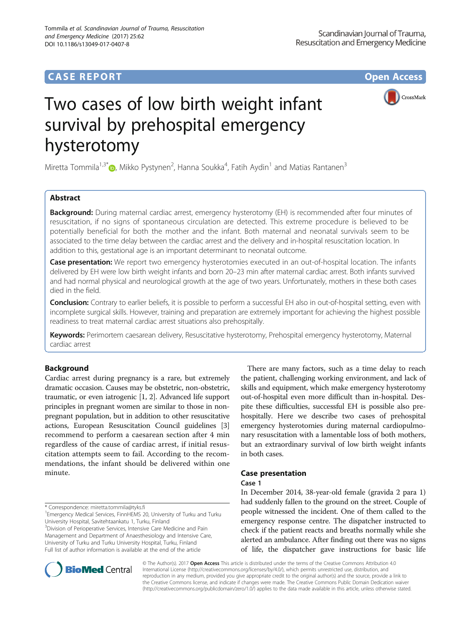# **CASE REPORT CASE REPORT CASE REPORT**



# Two cases of low birth weight infant survival by prehospital emergency hysterotomy

Miretta Tommila<sup>1,3[\\*](http://orcid.org/0000-0002-0798-4546)</sup>©, Mikko Pystynen<sup>2</sup>, Hanna Soukka<sup>4</sup>, Fatih Aydin<sup>1</sup> and Matias Rantanen<sup>3</sup>

# Abstract

Background: During maternal cardiac arrest, emergency hysterotomy (EH) is recommended after four minutes of resuscitation, if no signs of spontaneous circulation are detected. This extreme procedure is believed to be potentially beneficial for both the mother and the infant. Both maternal and neonatal survivals seem to be associated to the time delay between the cardiac arrest and the delivery and in-hospital resuscitation location. In addition to this, gestational age is an important determinant to neonatal outcome.

Case presentation: We report two emergency hysterotomies executed in an out-of-hospital location. The infants delivered by EH were low birth weight infants and born 20–23 min after maternal cardiac arrest. Both infants survived and had normal physical and neurological growth at the age of two years. Unfortunately, mothers in these both cases died in the field.

Conclusion: Contrary to earlier beliefs, it is possible to perform a successful EH also in out-of-hospital setting, even with incomplete surgical skills. However, training and preparation are extremely important for achieving the highest possible readiness to treat maternal cardiac arrest situations also prehospitally.

Keywords: Perimortem caesarean delivery, Resuscitative hysterotomy, Prehospital emergency hysterotomy, Maternal cardiac arrest

## Background

Cardiac arrest during pregnancy is a rare, but extremely dramatic occasion. Causes may be obstetric, non-obstetric, traumatic, or even iatrogenic [\[1, 2\]](#page-4-0). Advanced life support principles in pregnant women are similar to those in nonpregnant population, but in addition to other resuscitative actions, European Resuscitation Council guidelines [[3](#page-4-0)] recommend to perform a caesarean section after 4 min regardless of the cause of cardiac arrest, if initial resuscitation attempts seem to fail. According to the recommendations, the infant should be delivered within one minute.

\* Correspondence: [miretta.tommila@tyks.fi](mailto:miretta.tommila@tyks.fi) <sup>1</sup>

<sup>3</sup>Division of Perioperative Services, Intensive Care Medicine and Pain Management and Department of Anaesthesiology and Intensive Care, University of Turku and Turku University Hospital, Turku, Finland Full list of author information is available at the end of the article



# Case presentation

### Case 1

In December 2014, 38-year-old female (gravida 2 para 1) had suddenly fallen to the ground on the street. Couple of people witnessed the incident. One of them called to the emergency response centre. The dispatcher instructed to check if the patient reacts and breaths normally while she alerted an ambulance. After finding out there was no signs of life, the dispatcher gave instructions for basic life



© The Author(s). 2017 Open Access This article is distributed under the terms of the Creative Commons Attribution 4.0 International License [\(http://creativecommons.org/licenses/by/4.0/](http://creativecommons.org/licenses/by/4.0/)), which permits unrestricted use, distribution, and reproduction in any medium, provided you give appropriate credit to the original author(s) and the source, provide a link to the Creative Commons license, and indicate if changes were made. The Creative Commons Public Domain Dedication waiver [\(http://creativecommons.org/publicdomain/zero/1.0/](http://creativecommons.org/publicdomain/zero/1.0/)) applies to the data made available in this article, unless otherwise stated.

<sup>&</sup>lt;sup>1</sup> Emergency Medical Services, FinnHEMS 20, University of Turku and Turku University Hospital, Savitehtaankatu 1, Turku, Finland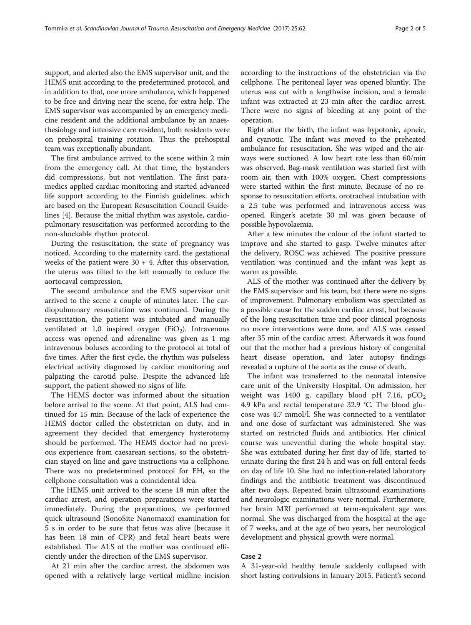support, and alerted also the EMS supervisor unit, and the HEMS unit according to the predetermined protocol, and in addition to that, one more ambulance, which happened to be free and driving near the scene, for extra help. The EMS supervisor was accompanied by an emergency medicine resident and the additional ambulance by an anaesthesiology and intensive care resident, both residents were on prehospital training rotation. Thus the prehospital team was exceptionally abundant.

The first ambulance arrived to the scene within 2 min from the emergency call. At that time, the bystanders did compressions, but not ventilation. The first paramedics applied cardiac monitoring and started advanced life support according to the Finnish guidelines, which are based on the European Resuscitation Council Guidelines [[4\]](#page-4-0). Because the initial rhythm was asystole, cardiopulmonary resuscitation was performed according to the non-shockable rhythm protocol.

During the resuscitation, the state of pregnancy was noticed. According to the maternity card, the gestational weeks of the patient were  $30 + 4$ . After this observation, the uterus was tilted to the left manually to reduce the aortocaval compression.

The second ambulance and the EMS supervisor unit arrived to the scene a couple of minutes later. The cardiopulmonary resuscitation was continued. During the resuscitation, the patient was intubated and manually ventilated at  $1,0$  inspired oxygen (FiO<sub>2</sub>). Intravenous access was opened and adrenaline was given as 1 mg intravenous boluses according to the protocol at total of five times. After the first cycle, the rhythm was pulseless electrical activity diagnosed by cardiac monitoring and palpating the carotid pulse. Despite the advanced life support, the patient showed no signs of life.

The HEMS doctor was informed about the situation before arrival to the scene. At that point, ALS had continued for 15 min. Because of the lack of experience the HEMS doctor called the obstetrician on duty, and in agreement they decided that emergency hysterotomy should be performed. The HEMS doctor had no previous experience from caesarean sections, so the obstetrician stayed on line and gave instructions via a cellphone. There was no predetermined protocol for EH, so the cellphone consultation was a coincidental idea.

The HEMS unit arrived to the scene 18 min after the cardiac arrest, and operation preparations were started immediately. During the preparations, we performed quick ultrasound (SonoSite Nanomaxx) examination for 5 s in order to be sure that fetus was alive (because it has been 18 min of CPR) and fetal heart beats were established. The ALS of the mother was continued efficiently under the direction of the EMS supervisor.

At 21 min after the cardiac arrest, the abdomen was opened with a relatively large vertical midline incision according to the instructions of the obstetrician via the cellphone. The peritoneal layer was opened bluntly. The uterus was cut with a lengthwise incision, and a female infant was extracted at 23 min after the cardiac arrest. There were no signs of bleeding at any point of the operation.

Right after the birth, the infant was hypotonic, apneic, and cyanotic. The infant was moved to the preheated ambulance for resuscitation. She was wiped and the airways were suctioned. A low heart rate less than 60/min was observed. Bag-mask ventilation was started first with room air, then with 100% oxygen. Chest compressions were started within the first minute. Because of no response to resuscitation efforts, orotracheal intubation with a 2.5 tube was performed and intravenous access was opened. Ringer's acetate 30 ml was given because of possible hypovolaemia.

After a few minutes the colour of the infant started to improve and she started to gasp. Twelve minutes after the delivery, ROSC was achieved. The positive pressure ventilation was continued and the infant was kept as warm as possible.

ALS of the mother was continued after the delivery by the EMS supervisor and his team, but there were no signs of improvement. Pulmonary embolism was speculated as a possible cause for the sudden cardiac arrest, but because of the long resuscitation time and poor clinical prognosis no more interventions were done, and ALS was ceased after 35 min of the cardiac arrest. Afterwards it was found out that the mother had a previous history of congenital heart disease operation, and later autopsy findings revealed a rupture of the aorta as the cause of death.

The infant was transferred to the neonatal intensive care unit of the University Hospital. On admission, her weight was 1400 g, capillary blood pH 7.16,  $pCO<sub>2</sub>$ 4.9 kPa and rectal temperature 32.9 °C. The blood glucose was 4.7 mmol/l. She was connected to a ventilator and one dose of surfactant was administered. She was started on restricted fluids and antibiotics. Her clinical course was uneventful during the whole hospital stay. She was extubated during her first day of life, started to urinate during the first 24 h and was on full enteral feeds on day of life 10. She had no infection-related laboratory findings and the antibiotic treatment was discontinued after two days. Repeated brain ultrasound examinations and neurologic examinations were normal. Furthermore, her brain MRI performed at term-equivalent age was normal. She was discharged from the hospital at the age of 7 weeks, and at the age of two years, her neurological development and physical growth were normal.

#### Case 2

A 31-year-old healthy female suddenly collapsed with short lasting convulsions in January 2015. Patient's second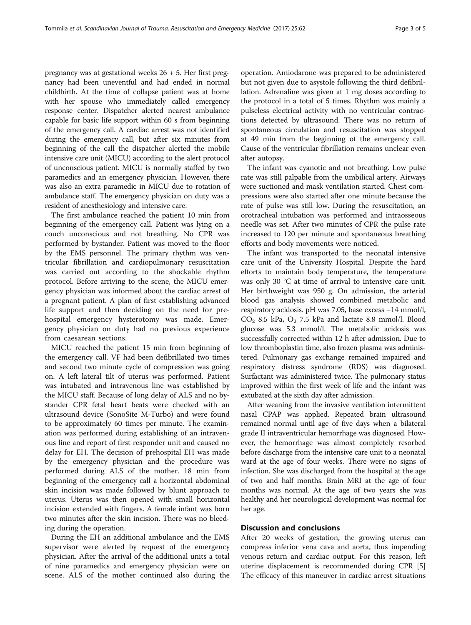pregnancy was at gestational weeks 26 + 5. Her first pregnancy had been uneventful and had ended in normal childbirth. At the time of collapse patient was at home with her spouse who immediately called emergency response center. Dispatcher alerted nearest ambulance capable for basic life support within 60 s from beginning of the emergency call. A cardiac arrest was not identified during the emergency call, but after six minutes from beginning of the call the dispatcher alerted the mobile intensive care unit (MICU) according to the alert protocol of unconscious patient. MICU is normally staffed by two paramedics and an emergency physician. However, there was also an extra paramedic in MICU due to rotation of ambulance staff. The emergency physician on duty was a resident of anesthesiology and intensive care.

The first ambulance reached the patient 10 min from beginning of the emergency call. Patient was lying on a couch unconscious and not breathing. No CPR was performed by bystander. Patient was moved to the floor by the EMS personnel. The primary rhythm was ventricular fibrillation and cardiopulmonary resuscitation was carried out according to the shockable rhythm protocol. Before arriving to the scene, the MICU emergency physician was informed about the cardiac arrest of a pregnant patient. A plan of first establishing advanced life support and then deciding on the need for prehospital emergency hysterotomy was made. Emergency physician on duty had no previous experience from caesarean sections.

MICU reached the patient 15 min from beginning of the emergency call. VF had been defibrillated two times and second two minute cycle of compression was going on. A left lateral tilt of uterus was performed. Patient was intubated and intravenous line was established by the MICU staff. Because of long delay of ALS and no bystander CPR fetal heart beats were checked with an ultrasound device (SonoSite M-Turbo) and were found to be approximately 60 times per minute. The examination was performed during establishing of an intravenous line and report of first responder unit and caused no delay for EH. The decision of prehospital EH was made by the emergency physician and the procedure was performed during ALS of the mother. 18 min from beginning of the emergency call a horizontal abdominal skin incision was made followed by blunt approach to uterus. Uterus was then opened with small horizontal incision extended with fingers. A female infant was born two minutes after the skin incision. There was no bleeding during the operation.

During the EH an additional ambulance and the EMS supervisor were alerted by request of the emergency physician. After the arrival of the additional units a total of nine paramedics and emergency physician were on scene. ALS of the mother continued also during the

operation. Amiodarone was prepared to be administered but not given due to asystole following the third defibrillation. Adrenaline was given at 1 mg doses according to the protocol in a total of 5 times. Rhythm was mainly a pulseless electrical activity with no ventricular contractions detected by ultrasound. There was no return of spontaneous circulation and resuscitation was stopped at 49 min from the beginning of the emergency call. Cause of the ventricular fibrillation remains unclear even after autopsy.

The infant was cyanotic and not breathing. Low pulse rate was still palpable from the umbilical artery. Airways were suctioned and mask ventilation started. Chest compressions were also started after one minute because the rate of pulse was still low. During the resuscitation, an orotracheal intubation was performed and intraosseous needle was set. After two minutes of CPR the pulse rate increased to 120 per minute and spontaneous breathing efforts and body movements were noticed.

The infant was transported to the neonatal intensive care unit of the University Hospital. Despite the hard efforts to maintain body temperature, the temperature was only 30 °C at time of arrival to intensive care unit. Her birthweight was 950 g. On admission, the arterial blood gas analysis showed combined metabolic and respiratory acidosis. pH was 7.05, base excess −14 mmol/l,  $CO<sub>2</sub>$  8.5 kPa,  $O<sub>2</sub>$  7.5 kPa and lactate 8.8 mmol/l. Blood glucose was 5.3 mmol/l. The metabolic acidosis was successfully corrected within 12 h after admission. Due to low thromboplastin time, also frozen plasma was administered. Pulmonary gas exchange remained impaired and respiratory distress syndrome (RDS) was diagnosed. Surfactant was administered twice. The pulmonary status improved within the first week of life and the infant was extubated at the sixth day after admission.

After weaning from the invasive ventilation intermittent nasal CPAP was applied. Repeated brain ultrasound remained normal until age of five days when a bilateral grade II intraventricular hemorrhage was diagnosed. However, the hemorrhage was almost completely resorbed before discharge from the intensive care unit to a neonatal ward at the age of four weeks. There were no signs of infection. She was discharged from the hospital at the age of two and half months. Brain MRI at the age of four months was normal. At the age of two years she was healthy and her neurological development was normal for her age.

#### Discussion and conclusions

After 20 weeks of gestation, the growing uterus can compress inferior vena cava and aorta, thus impending venous return and cardiac output. For this reason, left uterine displacement is recommended during CPR [\[5](#page-4-0)] The efficacy of this maneuver in cardiac arrest situations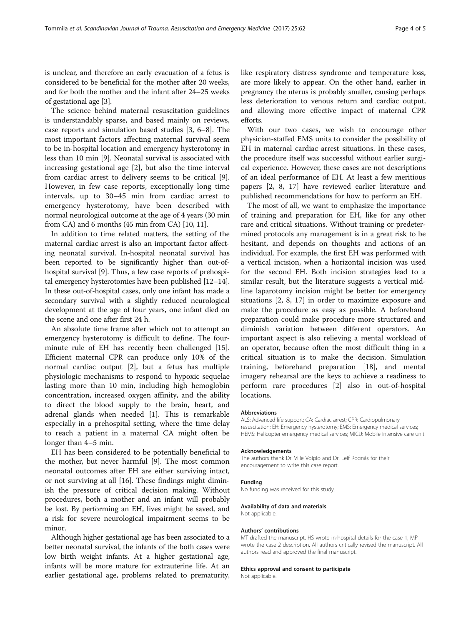is unclear, and therefore an early evacuation of a fetus is considered to be beneficial for the mother after 20 weeks, and for both the mother and the infant after 24–25 weeks of gestational age [\[3](#page-4-0)].

The science behind maternal resuscitation guidelines is understandably sparse, and based mainly on reviews, case reports and simulation based studies [[3](#page-4-0), [6](#page-4-0)–[8](#page-4-0)]. The most important factors affecting maternal survival seem to be in-hospital location and emergency hysterotomy in less than 10 min [[9\]](#page-4-0). Neonatal survival is associated with increasing gestational age [[2\]](#page-4-0), but also the time interval from cardiac arrest to delivery seems to be critical [\[9](#page-4-0)]. However, in few case reports, exceptionally long time intervals, up to 30–45 min from cardiac arrest to emergency hysterotomy, have been described with normal neurological outcome at the age of 4 years (30 min from CA) and 6 months (45 min from CA) [\[10, 11](#page-4-0)].

In addition to time related matters, the setting of the maternal cardiac arrest is also an important factor affecting neonatal survival. In-hospital neonatal survival has been reported to be significantly higher than out-of-hospital survival [[9\]](#page-4-0). Thus, a few case reports of prehospital emergency hysterotomies have been published [\[12](#page-4-0)–[14](#page-4-0)]. In these out-of-hospital cases, only one infant has made a secondary survival with a slightly reduced neurological development at the age of four years, one infant died on the scene and one after first 24 h.

An absolute time frame after which not to attempt an emergency hysterotomy is difficult to define. The fourminute rule of EH has recently been challenged [\[15](#page-4-0)]. Efficient maternal CPR can produce only 10% of the normal cardiac output [\[2](#page-4-0)], but a fetus has multiple physiologic mechanisms to respond to hypoxic sequelae lasting more than 10 min, including high hemoglobin concentration, increased oxygen affinity, and the ability to direct the blood supply to the brain, heart, and adrenal glands when needed [[1\]](#page-4-0). This is remarkable especially in a prehospital setting, where the time delay to reach a patient in a maternal CA might often be longer than 4–5 min.

EH has been considered to be potentially beneficial to the mother, but never harmful [\[9](#page-4-0)]. The most common neonatal outcomes after EH are either surviving intact, or not surviving at all [[16\]](#page-4-0). These findings might diminish the pressure of critical decision making. Without procedures, both a mother and an infant will probably be lost. By performing an EH, lives might be saved, and a risk for severe neurological impairment seems to be minor.

Although higher gestational age has been associated to a better neonatal survival, the infants of the both cases were low birth weight infants. At a higher gestational age, infants will be more mature for extrauterine life. At an earlier gestational age, problems related to prematurity, like respiratory distress syndrome and temperature loss, are more likely to appear. On the other hand, earlier in pregnancy the uterus is probably smaller, causing perhaps less deterioration to venous return and cardiac output, and allowing more effective impact of maternal CPR efforts.

With our two cases, we wish to encourage other physician-staffed EMS units to consider the possibility of EH in maternal cardiac arrest situations. In these cases, the procedure itself was successful without earlier surgical experience. However, these cases are not descriptions of an ideal performance of EH. At least a few meritious papers [\[2, 8, 17](#page-4-0)] have reviewed earlier literature and published recommendations for how to perform an EH.

The most of all, we want to emphasize the importance of training and preparation for EH, like for any other rare and critical situations. Without training or predetermined protocols any management is in a great risk to be hesitant, and depends on thoughts and actions of an individual. For example, the first EH was performed with a vertical incision, when a horizontal incision was used for the second EH. Both incision strategies lead to a similar result, but the literature suggests a vertical midline laparotomy incision might be better for emergency situations [\[2, 8, 17\]](#page-4-0) in order to maximize exposure and make the procedure as easy as possible. A beforehand preparation could make procedure more structured and diminish variation between different operators. An important aspect is also relieving a mental workload of an operator, because often the most difficult thing in a critical situation is to make the decision. Simulation training, beforehand preparation [\[18](#page-4-0)], and mental imagery rehearsal are the keys to achieve a readiness to perform rare procedures [\[2](#page-4-0)] also in out-of-hospital locations.

#### Abbreviations

ALS: Advanced life support; CA: Cardiac arrest; CPR: Cardiopulmonary resuscitation; EH: Emergency hysterotomy; EMS: Emergency medical services; HEMS: Helicopter emergency medical services; MICU: Mobile intensive care unit

#### Acknowledgements

The authors thank Dr. Ville Voipio and Dr. Leif Rognås for their encouragement to write this case report.

#### Funding

No funding was received for this study.

#### Availability of data and materials

Not applicable.

#### Authors' contributions

MT drafted the manuscript. HS wrote in-hospital details for the case 1, MP wrote the case 2 description. All authors critically revised the manuscript. All authors read and approved the final manuscript.

#### Ethics approval and consent to participate

Not applicable.